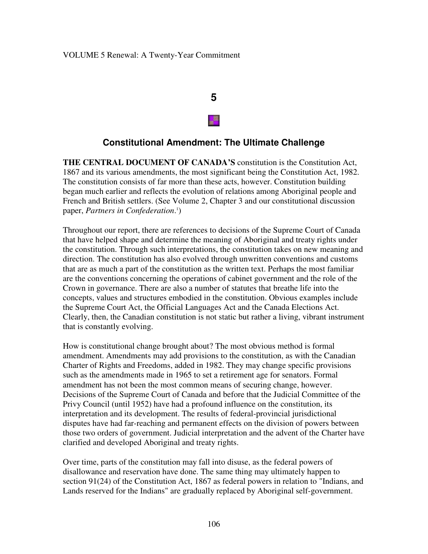

# **Constitutional Amendment: The Ultimate Challenge**

**THE CENTRAL DOCUMENT OF CANADA'S** constitution is the Constitution Act, 1867 and its various amendments, the most significant being the Constitution Act, 1982. The constitution consists of far more than these acts, however. Constitution building began much earlier and reflects the evolution of relations among Aboriginal people and French and British settlers. (See Volume 2, Chapter 3 and our constitutional discussion paper, *Partners in Confederation*. 1 )

Throughout our report, there are references to decisions of the Supreme Court of Canada that have helped shape and determine the meaning of Aboriginal and treaty rights under the constitution. Through such interpretations, the constitution takes on new meaning and direction. The constitution has also evolved through unwritten conventions and customs that are as much a part of the constitution as the written text. Perhaps the most familiar are the conventions concerning the operations of cabinet government and the role of the Crown in governance. There are also a number of statutes that breathe life into the concepts, values and structures embodied in the constitution. Obvious examples include the Supreme Court Act, the Official Languages Act and the Canada Elections Act. Clearly, then, the Canadian constitution is not static but rather a living, vibrant instrument that is constantly evolving.

How is constitutional change brought about? The most obvious method is formal amendment. Amendments may add provisions to the constitution, as with the Canadian Charter of Rights and Freedoms, added in 1982. They may change specific provisions such as the amendments made in 1965 to set a retirement age for senators. Formal amendment has not been the most common means of securing change, however. Decisions of the Supreme Court of Canada and before that the Judicial Committee of the Privy Council (until 1952) have had a profound influence on the constitution, its interpretation and its development. The results of federal-provincial jurisdictional disputes have had far-reaching and permanent effects on the division of powers between those two orders of government. Judicial interpretation and the advent of the Charter have clarified and developed Aboriginal and treaty rights.

Over time, parts of the constitution may fall into disuse, as the federal powers of disallowance and reservation have done. The same thing may ultimately happen to section 91(24) of the Constitution Act, 1867 as federal powers in relation to "Indians, and Lands reserved for the Indians" are gradually replaced by Aboriginal self-government.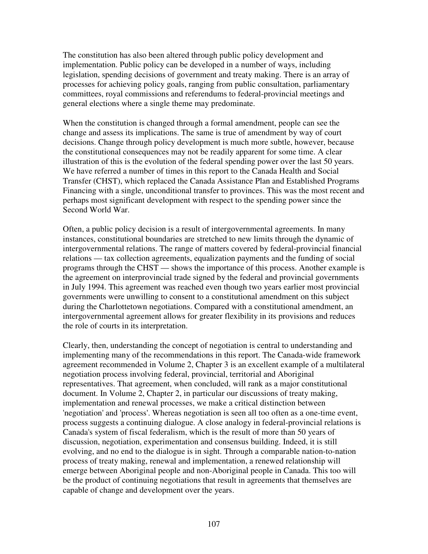The constitution has also been altered through public policy development and implementation. Public policy can be developed in a number of ways, including legislation, spending decisions of government and treaty making. There is an array of processes for achieving policy goals, ranging from public consultation, parliamentary committees, royal commissions and referendums to federal-provincial meetings and general elections where a single theme may predominate.

When the constitution is changed through a formal amendment, people can see the change and assess its implications. The same is true of amendment by way of court decisions. Change through policy development is much more subtle, however, because the constitutional consequences may not be readily apparent for some time. A clear illustration of this is the evolution of the federal spending power over the last 50 years. We have referred a number of times in this report to the Canada Health and Social Transfer (CHST), which replaced the Canada Assistance Plan and Established Programs Financing with a single, unconditional transfer to provinces. This was the most recent and perhaps most significant development with respect to the spending power since the Second World War.

Often, a public policy decision is a result of intergovernmental agreements. In many instances, constitutional boundaries are stretched to new limits through the dynamic of intergovernmental relations. The range of matters covered by federal-provincial financial relations — tax collection agreements, equalization payments and the funding of social programs through the CHST — shows the importance of this process. Another example is the agreement on interprovincial trade signed by the federal and provincial governments in July 1994. This agreement was reached even though two years earlier most provincial governments were unwilling to consent to a constitutional amendment on this subject during the Charlottetown negotiations. Compared with a constitutional amendment, an intergovernmental agreement allows for greater flexibility in its provisions and reduces the role of courts in its interpretation.

Clearly, then, understanding the concept of negotiation is central to understanding and implementing many of the recommendations in this report. The Canada-wide framework agreement recommended in Volume 2, Chapter 3 is an excellent example of a multilateral negotiation process involving federal, provincial, territorial and Aboriginal representatives. That agreement, when concluded, will rank as a major constitutional document. In Volume 2, Chapter 2, in particular our discussions of treaty making, implementation and renewal processes, we make a critical distinction between 'negotiation' and 'process'. Whereas negotiation is seen all too often as a one-time event, process suggests a continuing dialogue. A close analogy in federal-provincial relations is Canada's system of fiscal federalism, which is the result of more than 50 years of discussion, negotiation, experimentation and consensus building. Indeed, it is still evolving, and no end to the dialogue is in sight. Through a comparable nation-to-nation process of treaty making, renewal and implementation, a renewed relationship will emerge between Aboriginal people and non-Aboriginal people in Canada. This too will be the product of continuing negotiations that result in agreements that themselves are capable of change and development over the years.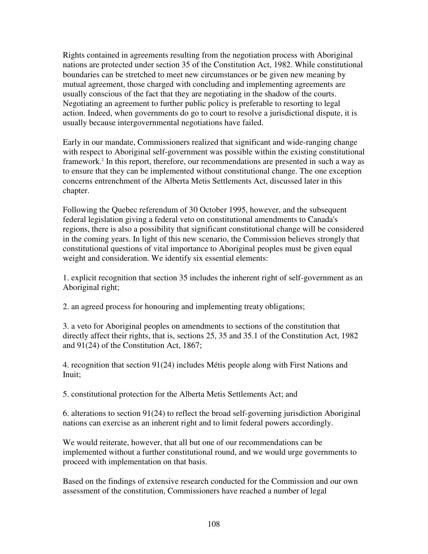Rights contained in agreements resulting from the negotiation process with Aboriginal nations are protected under section 35 of the Constitution Act, 1982. While constitutional boundaries can be stretched to meet new circumstances or be given new meaning by mutual agreement, those charged with concluding and implementing agreements are usually conscious of the fact that they are negotiating in the shadow of the courts. Negotiating an agreement to further public policy is preferable to resorting to legal action. Indeed, when governments do go to court to resolve a jurisdictional dispute, it is usually because intergovernmental negotiations have failed.

Early in our mandate, Commissioners realized that significant and wide-ranging change with respect to Aboriginal self-government was possible within the existing constitutional framework. 2 In this report, therefore, our recommendations are presented in such a way as to ensure that they can be implemented without constitutional change. The one exception concerns entrenchment of the Alberta Metis Settlements Act, discussed later in this chapter.

Following the Quebec referendum of 30 October 1995, however, and the subsequent federal legislation giving a federal veto on constitutional amendments to Canada's regions, there is also a possibility that significant constitutional change will be considered in the coming years. In light of this new scenario, the Commission believes strongly that constitutional questions of vital importance to Aboriginal peoples must be given equal weight and consideration. We identify six essential elements:

1. explicit recognition that section 35 includes the inherent right of self-government as an Aboriginal right;

2. an agreed process for honouring and implementing treaty obligations;

3. a veto for Aboriginal peoples on amendments to sections of the constitution that directly affect their rights, that is, sections 25, 35 and 35.1 of the Constitution Act, 1982 and 91(24) of the Constitution Act, 1867;

4. recognition that section 91(24) includes Métis people along with First Nations and Inuit;

5. constitutional protection for the Alberta Metis Settlements Act; and

6. alterations to section 91(24) to reflect the broad self-governing jurisdiction Aboriginal nations can exercise as an inherent right and to limit federal powers accordingly.

We would reiterate, however, that all but one of our recommendations can be implemented without a further constitutional round, and we would urge governments to proceed with implementation on that basis.

Based on the findings of extensive research conducted for the Commission and our own assessment of the constitution, Commissioners have reached a number of legal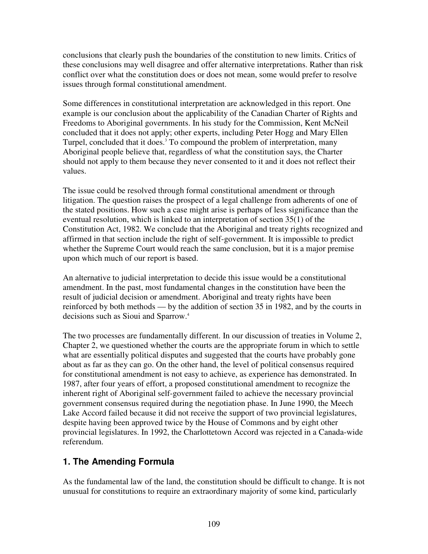conclusions that clearly push the boundaries of the constitution to new limits. Critics of these conclusions may well disagree and offer alternative interpretations. Rather than risk conflict over what the constitution does or does not mean, some would prefer to resolve issues through formal constitutional amendment.

Some differences in constitutional interpretation are acknowledged in this report. One example is our conclusion about the applicability of the Canadian Charter of Rights and Freedoms to Aboriginal governments. In his study for the Commission, Kent McNeil concluded that it does not apply; other experts, including Peter Hogg and Mary Ellen Turpel, concluded that it does. <sup>3</sup> To compound the problem of interpretation, many Aboriginal people believe that, regardless of what the constitution says, the Charter should not apply to them because they never consented to it and it does not reflect their values.

The issue could be resolved through formal constitutional amendment or through litigation. The question raises the prospect of a legal challenge from adherents of one of the stated positions. How such a case might arise is perhaps of less significance than the eventual resolution, which is linked to an interpretation of section 35(1) of the Constitution Act, 1982. We conclude that the Aboriginal and treaty rights recognized and affirmed in that section include the right of self-government. It is impossible to predict whether the Supreme Court would reach the same conclusion, but it is a major premise upon which much of our report is based.

An alternative to judicial interpretation to decide this issue would be a constitutional amendment. In the past, most fundamental changes in the constitution have been the result of judicial decision or amendment. Aboriginal and treaty rights have been reinforced by both methods — by the addition of section 35 in 1982, and by the courts in decisions such as Sioui and Sparrow. 4

The two processes are fundamentally different. In our discussion of treaties in Volume 2, Chapter 2, we questioned whether the courts are the appropriate forum in which to settle what are essentially political disputes and suggested that the courts have probably gone about as far as they can go. On the other hand, the level of political consensus required for constitutional amendment is not easy to achieve, as experience has demonstrated. In 1987, after four years of effort, a proposed constitutional amendment to recognize the inherent right of Aboriginal self-government failed to achieve the necessary provincial government consensus required during the negotiation phase. In June 1990, the Meech Lake Accord failed because it did not receive the support of two provincial legislatures, despite having been approved twice by the House of Commons and by eight other provincial legislatures. In 1992, the Charlottetown Accord was rejected in a Canada-wide referendum.

# **1. The Amending Formula**

As the fundamental law of the land, the constitution should be difficult to change. It is not unusual for constitutions to require an extraordinary majority of some kind, particularly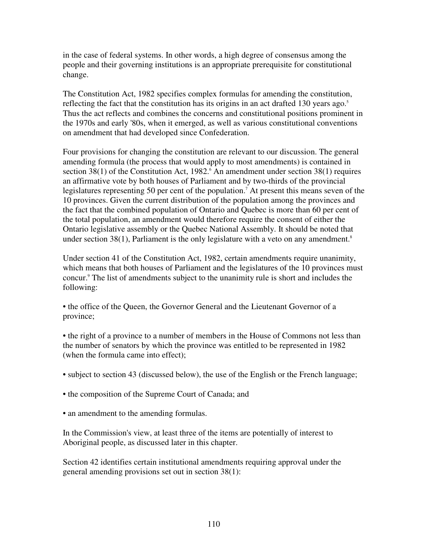in the case of federal systems. In other words, a high degree of consensus among the people and their governing institutions is an appropriate prerequisite for constitutional change.

The Constitution Act, 1982 specifies complex formulas for amending the constitution, reflecting the fact that the constitution has its origins in an act drafted 130 years ago. 5 Thus the act reflects and combines the concerns and constitutional positions prominent in the 1970s and early '80s, when it emerged, as well as various constitutional conventions on amendment that had developed since Confederation.

Four provisions for changing the constitution are relevant to our discussion. The general amending formula (the process that would apply to most amendments) is contained in section 38(1) of the Constitution Act, 1982.<sup>6</sup> An amendment under section 38(1) requires an affirmative vote by both houses of Parliament and by two-thirds of the provincial legislatures representing 50 per cent of the population. <sup>7</sup> At present this means seven of the 10 provinces. Given the current distribution of the population among the provinces and the fact that the combined population of Ontario and Quebec is more than 60 per cent of the total population, an amendment would therefore require the consent of either the Ontario legislative assembly or the Quebec National Assembly. It should be noted that under section 38(1), Parliament is the only legislature with a veto on any amendment.<sup>8</sup>

Under section 41 of the Constitution Act, 1982, certain amendments require unanimity, which means that both houses of Parliament and the legislatures of the 10 provinces must concur. <sup>9</sup> The list of amendments subject to the unanimity rule is short and includes the following:

- the office of the Queen, the Governor General and the Lieutenant Governor of a province;
- the right of a province to a number of members in the House of Commons not less than the number of senators by which the province was entitled to be represented in 1982 (when the formula came into effect);
- subject to section 43 (discussed below), the use of the English or the French language;
- the composition of the Supreme Court of Canada; and
- an amendment to the amending formulas.

In the Commission's view, at least three of the items are potentially of interest to Aboriginal people, as discussed later in this chapter.

Section 42 identifies certain institutional amendments requiring approval under the general amending provisions set out in section 38(1):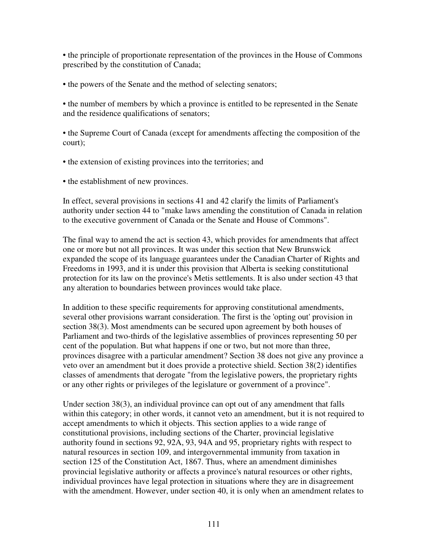• the principle of proportionate representation of the provinces in the House of Commons prescribed by the constitution of Canada;

• the powers of the Senate and the method of selecting senators;

• the number of members by which a province is entitled to be represented in the Senate and the residence qualifications of senators;

• the Supreme Court of Canada (except for amendments affecting the composition of the court);

- the extension of existing provinces into the territories; and
- the establishment of new provinces.

In effect, several provisions in sections 41 and 42 clarify the limits of Parliament's authority under section 44 to "make laws amending the constitution of Canada in relation to the executive government of Canada or the Senate and House of Commons".

The final way to amend the act is section 43, which provides for amendments that affect one or more but not all provinces. It was under this section that New Brunswick expanded the scope of its language guarantees under the Canadian Charter of Rights and Freedoms in 1993, and it is under this provision that Alberta is seeking constitutional protection for its law on the province's Metis settlements. It is also under section 43 that any alteration to boundaries between provinces would take place.

In addition to these specific requirements for approving constitutional amendments, several other provisions warrant consideration. The first is the 'opting out' provision in section 38(3). Most amendments can be secured upon agreement by both houses of Parliament and two-thirds of the legislative assemblies of provinces representing 50 per cent of the population. But what happens if one or two, but not more than three, provinces disagree with a particular amendment? Section 38 does not give any province a veto over an amendment but it does provide a protective shield. Section 38(2) identifies classes of amendments that derogate "from the legislative powers, the proprietary rights or any other rights or privileges of the legislature or government of a province".

Under section 38(3), an individual province can opt out of any amendment that falls within this category; in other words, it cannot veto an amendment, but it is not required to accept amendments to which it objects. This section applies to a wide range of constitutional provisions, including sections of the Charter, provincial legislative authority found in sections 92, 92A, 93, 94A and 95, proprietary rights with respect to natural resources in section 109, and intergovernmental immunity from taxation in section 125 of the Constitution Act, 1867. Thus, where an amendment diminishes provincial legislative authority or affects a province's natural resources or other rights, individual provinces have legal protection in situations where they are in disagreement with the amendment. However, under section 40, it is only when an amendment relates to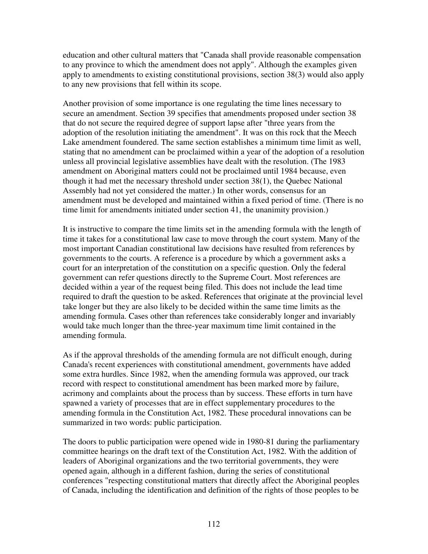education and other cultural matters that "Canada shall provide reasonable compensation to any province to which the amendment does not apply". Although the examples given apply to amendments to existing constitutional provisions, section 38(3) would also apply to any new provisions that fell within its scope.

Another provision of some importance is one regulating the time lines necessary to secure an amendment. Section 39 specifies that amendments proposed under section 38 that do not secure the required degree of support lapse after "three years from the adoption of the resolution initiating the amendment". It was on this rock that the Meech Lake amendment foundered. The same section establishes a minimum time limit as well, stating that no amendment can be proclaimed within a year of the adoption of a resolution unless all provincial legislative assemblies have dealt with the resolution. (The 1983 amendment on Aboriginal matters could not be proclaimed until 1984 because, even though it had met the necessary threshold under section 38(1), the Quebec National Assembly had not yet considered the matter.) In other words, consensus for an amendment must be developed and maintained within a fixed period of time. (There is no time limit for amendments initiated under section 41, the unanimity provision.)

It is instructive to compare the time limits set in the amending formula with the length of time it takes for a constitutional law case to move through the court system. Many of the most important Canadian constitutional law decisions have resulted from references by governments to the courts. A reference is a procedure by which a government asks a court for an interpretation of the constitution on a specific question. Only the federal government can refer questions directly to the Supreme Court. Most references are decided within a year of the request being filed. This does not include the lead time required to draft the question to be asked. References that originate at the provincial level take longer but they are also likely to be decided within the same time limits as the amending formula. Cases other than references take considerably longer and invariably would take much longer than the three-year maximum time limit contained in the amending formula.

As if the approval thresholds of the amending formula are not difficult enough, during Canada's recent experiences with constitutional amendment, governments have added some extra hurdles. Since 1982, when the amending formula was approved, our track record with respect to constitutional amendment has been marked more by failure, acrimony and complaints about the process than by success. These efforts in turn have spawned a variety of processes that are in effect supplementary procedures to the amending formula in the Constitution Act, 1982. These procedural innovations can be summarized in two words: public participation.

The doors to public participation were opened wide in 1980-81 during the parliamentary committee hearings on the draft text of the Constitution Act, 1982. With the addition of leaders of Aboriginal organizations and the two territorial governments, they were opened again, although in a different fashion, during the series of constitutional conferences "respecting constitutional matters that directly affect the Aboriginal peoples of Canada, including the identification and definition of the rights of those peoples to be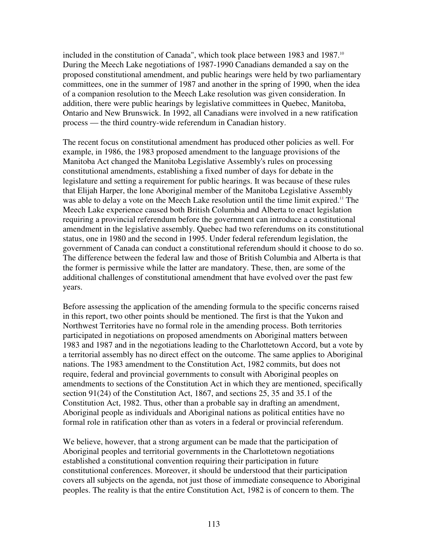included in the constitution of Canada", which took place between 1983 and 1987.<sup>10</sup> During the Meech Lake negotiations of 1987-1990 Canadians demanded a say on the proposed constitutional amendment, and public hearings were held by two parliamentary committees, one in the summer of 1987 and another in the spring of 1990, when the idea of a companion resolution to the Meech Lake resolution was given consideration. In addition, there were public hearings by legislative committees in Quebec, Manitoba, Ontario and New Brunswick. In 1992, all Canadians were involved in a new ratification process — the third country-wide referendum in Canadian history.

The recent focus on constitutional amendment has produced other policies as well. For example, in 1986, the 1983 proposed amendment to the language provisions of the Manitoba Act changed the Manitoba Legislative Assembly's rules on processing constitutional amendments, establishing a fixed number of days for debate in the legislature and setting a requirement for public hearings. It was because of these rules that Elijah Harper, the lone Aboriginal member of the Manitoba Legislative Assembly was able to delay a vote on the Meech Lake resolution until the time limit expired.<sup>11</sup> The Meech Lake experience caused both British Columbia and Alberta to enact legislation requiring a provincial referendum before the government can introduce a constitutional amendment in the legislative assembly. Quebec had two referendums on its constitutional status, one in 1980 and the second in 1995. Under federal referendum legislation, the government of Canada can conduct a constitutional referendum should it choose to do so. The difference between the federal law and those of British Columbia and Alberta is that the former is permissive while the latter are mandatory. These, then, are some of the additional challenges of constitutional amendment that have evolved over the past few years.

Before assessing the application of the amending formula to the specific concerns raised in this report, two other points should be mentioned. The first is that the Yukon and Northwest Territories have no formal role in the amending process. Both territories participated in negotiations on proposed amendments on Aboriginal matters between 1983 and 1987 and in the negotiations leading to the Charlottetown Accord, but a vote by a territorial assembly has no direct effect on the outcome. The same applies to Aboriginal nations. The 1983 amendment to the Constitution Act, 1982 commits, but does not require, federal and provincial governments to consult with Aboriginal peoples on amendments to sections of the Constitution Act in which they are mentioned, specifically section 91(24) of the Constitution Act, 1867, and sections 25, 35 and 35.1 of the Constitution Act, 1982. Thus, other than a probable say in drafting an amendment, Aboriginal people as individuals and Aboriginal nations as political entities have no formal role in ratification other than as voters in a federal or provincial referendum.

We believe, however, that a strong argument can be made that the participation of Aboriginal peoples and territorial governments in the Charlottetown negotiations established a constitutional convention requiring their participation in future constitutional conferences. Moreover, it should be understood that their participation covers all subjects on the agenda, not just those of immediate consequence to Aboriginal peoples. The reality is that the entire Constitution Act, 1982 is of concern to them. The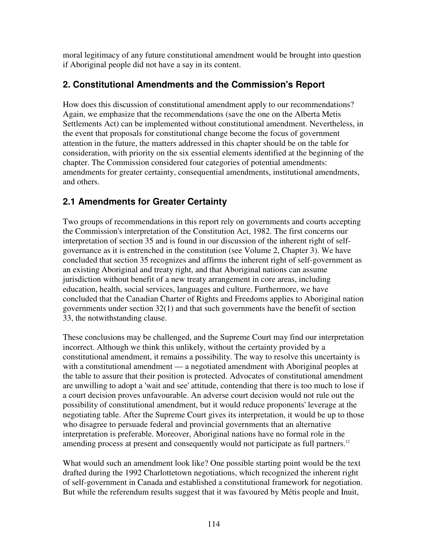moral legitimacy of any future constitutional amendment would be brought into question if Aboriginal people did not have a say in its content.

# **2. Constitutional Amendments and the Commission's Report**

How does this discussion of constitutional amendment apply to our recommendations? Again, we emphasize that the recommendations (save the one on the Alberta Metis Settlements Act) can be implemented without constitutional amendment. Nevertheless, in the event that proposals for constitutional change become the focus of government attention in the future, the matters addressed in this chapter should be on the table for consideration, with priority on the six essential elements identified at the beginning of the chapter. The Commission considered four categories of potential amendments: amendments for greater certainty, consequential amendments, institutional amendments, and others.

# **2.1 Amendments for Greater Certainty**

Two groups of recommendations in this report rely on governments and courts accepting the Commission's interpretation of the Constitution Act, 1982. The first concerns our interpretation of section 35 and is found in our discussion of the inherent right of selfgovernance as it is entrenched in the constitution (see Volume 2, Chapter 3). We have concluded that section 35 recognizes and affirms the inherent right of self-government as an existing Aboriginal and treaty right, and that Aboriginal nations can assume jurisdiction without benefit of a new treaty arrangement in core areas, including education, health, social services, languages and culture. Furthermore, we have concluded that the Canadian Charter of Rights and Freedoms applies to Aboriginal nation governments under section 32(1) and that such governments have the benefit of section 33, the notwithstanding clause.

These conclusions may be challenged, and the Supreme Court may find our interpretation incorrect. Although we think this unlikely, without the certainty provided by a constitutional amendment, it remains a possibility. The way to resolve this uncertainty is with a constitutional amendment — a negotiated amendment with Aboriginal peoples at the table to assure that their position is protected. Advocates of constitutional amendment are unwilling to adopt a 'wait and see' attitude, contending that there is too much to lose if a court decision proves unfavourable. An adverse court decision would not rule out the possibility of constitutional amendment, but it would reduce proponents' leverage at the negotiating table. After the Supreme Court gives its interpretation, it would be up to those who disagree to persuade federal and provincial governments that an alternative interpretation is preferable. Moreover, Aboriginal nations have no formal role in the amending process at present and consequently would not participate as full partners.<sup>12</sup>

What would such an amendment look like? One possible starting point would be the text drafted during the 1992 Charlottetown negotiations, which recognized the inherent right of self-government in Canada and established a constitutional framework for negotiation. But while the referendum results suggest that it was favoured by Métis people and Inuit,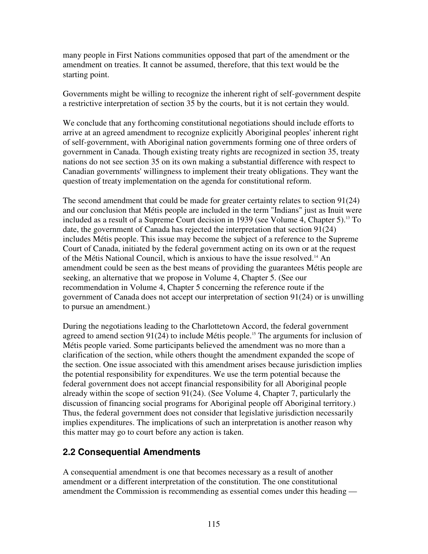many people in First Nations communities opposed that part of the amendment or the amendment on treaties. It cannot be assumed, therefore, that this text would be the starting point.

Governments might be willing to recognize the inherent right of self-government despite a restrictive interpretation of section 35 by the courts, but it is not certain they would.

We conclude that any forthcoming constitutional negotiations should include efforts to arrive at an agreed amendment to recognize explicitly Aboriginal peoples' inherent right of self-government, with Aboriginal nation governments forming one of three orders of government in Canada. Though existing treaty rights are recognized in section 35, treaty nations do not see section 35 on its own making a substantial difference with respect to Canadian governments' willingness to implement their treaty obligations. They want the question of treaty implementation on the agenda for constitutional reform.

The second amendment that could be made for greater certainty relates to section 91(24) and our conclusion that Métis people are included in the term "Indians" just as Inuit were included as a result of a Supreme Court decision in 1939 (see Volume 4, Chapter 5). <sup>13</sup> To date, the government of Canada has rejected the interpretation that section 91(24) includes Métis people. This issue may become the subject of a reference to the Supreme Court of Canada, initiated by the federal government acting on its own or at the request of the Métis National Council, which is anxious to have the issue resolved. <sup>14</sup> An amendment could be seen as the best means of providing the guarantees Métis people are seeking, an alternative that we propose in Volume 4, Chapter 5. (See our recommendation in Volume 4, Chapter 5 concerning the reference route if the government of Canada does not accept our interpretation of section 91(24) or is unwilling to pursue an amendment.)

During the negotiations leading to the Charlottetown Accord, the federal government agreed to amend section 91(24) to include Métis people. <sup>15</sup> The arguments for inclusion of Métis people varied. Some participants believed the amendment was no more than a clarification of the section, while others thought the amendment expanded the scope of the section. One issue associated with this amendment arises because jurisdiction implies the potential responsibility for expenditures. We use the term potential because the federal government does not accept financial responsibility for all Aboriginal people already within the scope of section 91(24). (See Volume 4, Chapter 7, particularly the discussion of financing social programs for Aboriginal people off Aboriginal territory.) Thus, the federal government does not consider that legislative jurisdiction necessarily implies expenditures. The implications of such an interpretation is another reason why this matter may go to court before any action is taken.

# **2.2 Consequential Amendments**

A consequential amendment is one that becomes necessary as a result of another amendment or a different interpretation of the constitution. The one constitutional amendment the Commission is recommending as essential comes under this heading —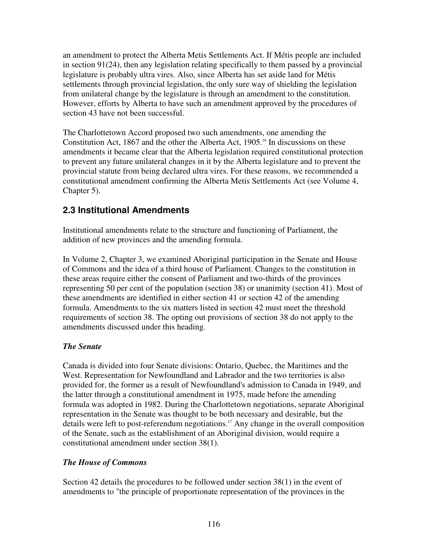an amendment to protect the Alberta Metis Settlements Act. If Métis people are included in section  $91(24)$ , then any legislation relating specifically to them passed by a provincial legislature is probably ultra vires. Also, since Alberta has set aside land for Métis settlements through provincial legislation, the only sure way of shielding the legislation from unilateral change by the legislature is through an amendment to the constitution. However, efforts by Alberta to have such an amendment approved by the procedures of section 43 have not been successful.

The Charlottetown Accord proposed two such amendments, one amending the Constitution Act, 1867 and the other the Alberta Act, 1905. 16 In discussions on these amendments it became clear that the Alberta legislation required constitutional protection to prevent any future unilateral changes in it by the Alberta legislature and to prevent the provincial statute from being declared ultra vires. For these reasons, we recommended a constitutional amendment confirming the Alberta Metis Settlements Act (see Volume 4, Chapter 5).

# **2.3 Institutional Amendments**

Institutional amendments relate to the structure and functioning of Parliament, the addition of new provinces and the amending formula.

In Volume 2, Chapter 3, we examined Aboriginal participation in the Senate and House of Commons and the idea of a third house of Parliament. Changes to the constitution in these areas require either the consent of Parliament and two-thirds of the provinces representing 50 per cent of the population (section 38) or unanimity (section 41). Most of these amendments are identified in either section 41 or section 42 of the amending formula. Amendments to the six matters listed in section 42 must meet the threshold requirements of section 38. The opting out provisions of section 38 do not apply to the amendments discussed under this heading.

## *The Senate*

Canada is divided into four Senate divisions: Ontario, Quebec, the Maritimes and the West. Representation for Newfoundland and Labrador and the two territories is also provided for, the former as a result of Newfoundland's admission to Canada in 1949, and the latter through a constitutional amendment in 1975, made before the amending formula was adopted in 1982. During the Charlottetown negotiations, separate Aboriginal representation in the Senate was thought to be both necessary and desirable, but the details were left to post-referendum negotiations. <sup>17</sup> Any change in the overall composition of the Senate, such as the establishment of an Aboriginal division, would require a constitutional amendment under section 38(1).

## *The House of Commons*

Section 42 details the procedures to be followed under section 38(1) in the event of amendments to "the principle of proportionate representation of the provinces in the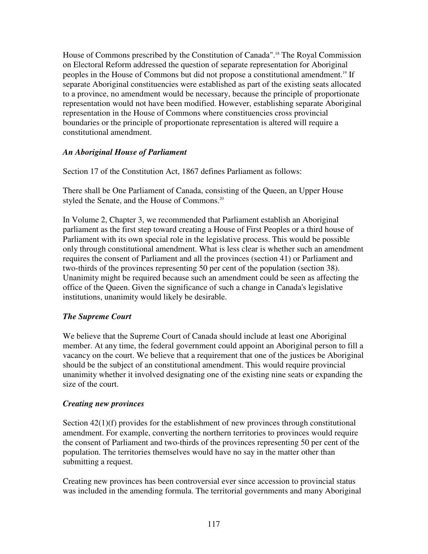House of Commons prescribed by the Constitution of Canada". <sup>18</sup> The Royal Commission on Electoral Reform addressed the question of separate representation for Aboriginal peoples in the House of Commons but did not propose a constitutional amendment. 19 If separate Aboriginal constituencies were established as part of the existing seats allocated to a province, no amendment would be necessary, because the principle of proportionate representation would not have been modified. However, establishing separate Aboriginal representation in the House of Commons where constituencies cross provincial boundaries or the principle of proportionate representation is altered will require a constitutional amendment.

#### *An Aboriginal House of Parliament*

Section 17 of the Constitution Act, 1867 defines Parliament as follows:

There shall be One Parliament of Canada, consisting of the Queen, an Upper House styled the Senate, and the House of Commons.<sup>20</sup>

In Volume 2, Chapter 3, we recommended that Parliament establish an Aboriginal parliament as the first step toward creating a House of First Peoples or a third house of Parliament with its own special role in the legislative process. This would be possible only through constitutional amendment. What is less clear is whether such an amendment requires the consent of Parliament and all the provinces (section 41) or Parliament and two-thirds of the provinces representing 50 per cent of the population (section 38). Unanimity might be required because such an amendment could be seen as affecting the office of the Queen. Given the significance of such a change in Canada's legislative institutions, unanimity would likely be desirable.

#### *The Supreme Court*

We believe that the Supreme Court of Canada should include at least one Aboriginal member. At any time, the federal government could appoint an Aboriginal person to fill a vacancy on the court. We believe that a requirement that one of the justices be Aboriginal should be the subject of an constitutional amendment. This would require provincial unanimity whether it involved designating one of the existing nine seats or expanding the size of the court.

#### *Creating new provinces*

Section  $42(1)(f)$  provides for the establishment of new provinces through constitutional amendment. For example, converting the northern territories to provinces would require the consent of Parliament and two-thirds of the provinces representing 50 per cent of the population. The territories themselves would have no say in the matter other than submitting a request.

Creating new provinces has been controversial ever since accession to provincial status was included in the amending formula. The territorial governments and many Aboriginal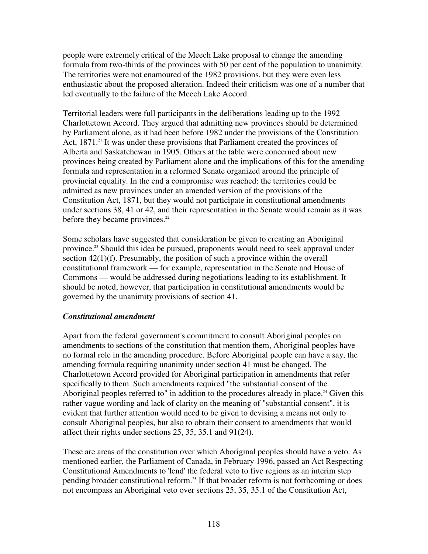people were extremely critical of the Meech Lake proposal to change the amending formula from two-thirds of the provinces with 50 per cent of the population to unanimity. The territories were not enamoured of the 1982 provisions, but they were even less enthusiastic about the proposed alteration. Indeed their criticism was one of a number that led eventually to the failure of the Meech Lake Accord.

Territorial leaders were full participants in the deliberations leading up to the 1992 Charlottetown Accord. They argued that admitting new provinces should be determined by Parliament alone, as it had been before 1982 under the provisions of the Constitution Act, 1871.<sup>21</sup> It was under these provisions that Parliament created the provinces of Alberta and Saskatchewan in 1905. Others at the table were concerned about new provinces being created by Parliament alone and the implications of this for the amending formula and representation in a reformed Senate organized around the principle of provincial equality. In the end a compromise was reached: the territories could be admitted as new provinces under an amended version of the provisions of the Constitution Act, 1871, but they would not participate in constitutional amendments under sections 38, 41 or 42, and their representation in the Senate would remain as it was before they became provinces.<sup>22</sup>

Some scholars have suggested that consideration be given to creating an Aboriginal province. <sup>23</sup> Should this idea be pursued, proponents would need to seek approval under section 42(1)(f). Presumably, the position of such a province within the overall constitutional framework — for example, representation in the Senate and House of Commons — would be addressed during negotiations leading to its establishment. It should be noted, however, that participation in constitutional amendments would be governed by the unanimity provisions of section 41.

#### *Constitutional amendment*

Apart from the federal government's commitment to consult Aboriginal peoples on amendments to sections of the constitution that mention them, Aboriginal peoples have no formal role in the amending procedure. Before Aboriginal people can have a say, the amending formula requiring unanimity under section 41 must be changed. The Charlottetown Accord provided for Aboriginal participation in amendments that refer specifically to them. Such amendments required "the substantial consent of the Aboriginal peoples referred to" in addition to the procedures already in place.<sup>24</sup> Given this rather vague wording and lack of clarity on the meaning of "substantial consent", it is evident that further attention would need to be given to devising a means not only to consult Aboriginal peoples, but also to obtain their consent to amendments that would affect their rights under sections 25, 35, 35.1 and 91(24).

These are areas of the constitution over which Aboriginal peoples should have a veto. As mentioned earlier, the Parliament of Canada, in February 1996, passed an Act Respecting Constitutional Amendments to 'lend' the federal veto to five regions as an interim step pending broader constitutional reform. 25 If that broader reform is not forthcoming or does not encompass an Aboriginal veto over sections 25, 35, 35.1 of the Constitution Act,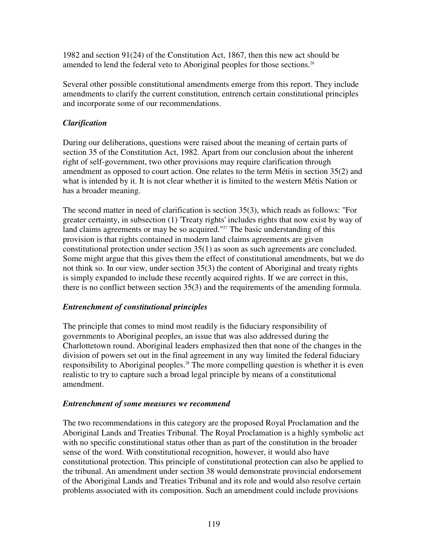1982 and section 91(24) of the Constitution Act, 1867, then this new act should be amended to lend the federal veto to Aboriginal peoples for those sections.<sup>26</sup>

Several other possible constitutional amendments emerge from this report. They include amendments to clarify the current constitution, entrench certain constitutional principles and incorporate some of our recommendations.

#### *Clarification*

During our deliberations, questions were raised about the meaning of certain parts of section 35 of the Constitution Act, 1982. Apart from our conclusion about the inherent right of self-government, two other provisions may require clarification through amendment as opposed to court action. One relates to the term Métis in section 35(2) and what is intended by it. It is not clear whether it is limited to the western Métis Nation or has a broader meaning.

The second matter in need of clarification is section 35(3), which reads as follows: "For greater certainty, in subsection (1) 'Treaty rights' includes rights that now exist by way of land claims agreements or may be so acquired."<sup>27</sup> The basic understanding of this provision is that rights contained in modern land claims agreements are given constitutional protection under section 35(1) as soon as such agreements are concluded. Some might argue that this gives them the effect of constitutional amendments, but we do not think so. In our view, under section 35(3) the content of Aboriginal and treaty rights is simply expanded to include these recently acquired rights. If we are correct in this, there is no conflict between section 35(3) and the requirements of the amending formula.

#### *Entrenchment of constitutional principles*

The principle that comes to mind most readily is the fiduciary responsibility of governments to Aboriginal peoples, an issue that was also addressed during the Charlottetown round. Aboriginal leaders emphasized then that none of the changes in the division of powers set out in the final agreement in any way limited the federal fiduciary responsibility to Aboriginal peoples.<sup>28</sup> The more compelling question is whether it is even realistic to try to capture such a broad legal principle by means of a constitutional amendment.

#### *Entrenchment of some measures we recommend*

The two recommendations in this category are the proposed Royal Proclamation and the Aboriginal Lands and Treaties Tribunal. The Royal Proclamation is a highly symbolic act with no specific constitutional status other than as part of the constitution in the broader sense of the word. With constitutional recognition, however, it would also have constitutional protection. This principle of constitutional protection can also be applied to the tribunal. An amendment under section 38 would demonstrate provincial endorsement of the Aboriginal Lands and Treaties Tribunal and its role and would also resolve certain problems associated with its composition. Such an amendment could include provisions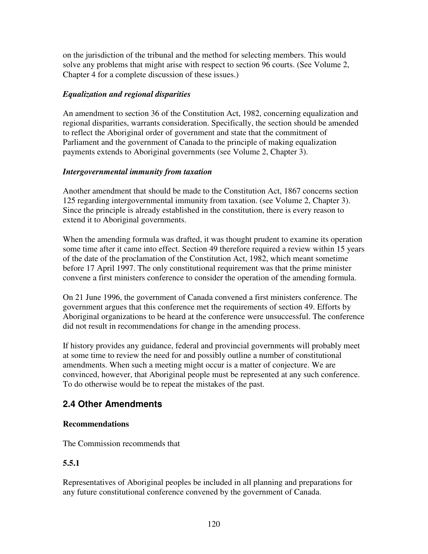on the jurisdiction of the tribunal and the method for selecting members. This would solve any problems that might arise with respect to section 96 courts. (See Volume 2, Chapter 4 for a complete discussion of these issues.)

#### *Equalization and regional disparities*

An amendment to section 36 of the Constitution Act, 1982, concerning equalization and regional disparities, warrants consideration. Specifically, the section should be amended to reflect the Aboriginal order of government and state that the commitment of Parliament and the government of Canada to the principle of making equalization payments extends to Aboriginal governments (see Volume 2, Chapter 3).

#### *Intergovernmental immunity from taxation*

Another amendment that should be made to the Constitution Act, 1867 concerns section 125 regarding intergovernmental immunity from taxation. (see Volume 2, Chapter 3). Since the principle is already established in the constitution, there is every reason to extend it to Aboriginal governments.

When the amending formula was drafted, it was thought prudent to examine its operation some time after it came into effect. Section 49 therefore required a review within 15 years of the date of the proclamation of the Constitution Act, 1982, which meant sometime before 17 April 1997. The only constitutional requirement was that the prime minister convene a first ministers conference to consider the operation of the amending formula.

On 21 June 1996, the government of Canada convened a first ministers conference. The government argues that this conference met the requirements of section 49. Efforts by Aboriginal organizations to be heard at the conference were unsuccessful. The conference did not result in recommendations for change in the amending process.

If history provides any guidance, federal and provincial governments will probably meet at some time to review the need for and possibly outline a number of constitutional amendments. When such a meeting might occur is a matter of conjecture. We are convinced, however, that Aboriginal people must be represented at any such conference. To do otherwise would be to repeat the mistakes of the past.

# **2.4 Other Amendments**

#### **Recommendations**

The Commission recommends that

## **5.5.1**

Representatives of Aboriginal peoples be included in all planning and preparations for any future constitutional conference convened by the government of Canada.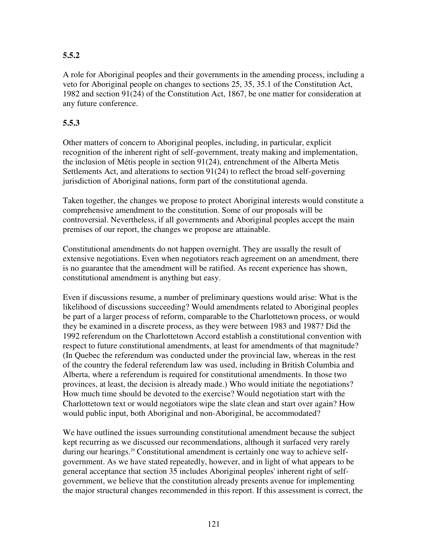## **5.5.2**

A role for Aboriginal peoples and their governments in the amending process, including a veto for Aboriginal people on changes to sections 25, 35, 35.1 of the Constitution Act, 1982 and section 91(24) of the Constitution Act, 1867, be one matter for consideration at any future conference.

## **5.5.3**

Other matters of concern to Aboriginal peoples, including, in particular, explicit recognition of the inherent right of self-government, treaty making and implementation, the inclusion of Métis people in section 91(24), entrenchment of the Alberta Metis Settlements Act, and alterations to section 91(24) to reflect the broad self-governing jurisdiction of Aboriginal nations, form part of the constitutional agenda.

Taken together, the changes we propose to protect Aboriginal interests would constitute a comprehensive amendment to the constitution. Some of our proposals will be controversial. Nevertheless, if all governments and Aboriginal peoples accept the main premises of our report, the changes we propose are attainable.

Constitutional amendments do not happen overnight. They are usually the result of extensive negotiations. Even when negotiators reach agreement on an amendment, there is no guarantee that the amendment will be ratified. As recent experience has shown, constitutional amendment is anything but easy.

Even if discussions resume, a number of preliminary questions would arise: What is the likelihood of discussions succeeding? Would amendments related to Aboriginal peoples be part of a larger process of reform, comparable to the Charlottetown process, or would they be examined in a discrete process, as they were between 1983 and 1987? Did the 1992 referendum on the Charlottetown Accord establish a constitutional convention with respect to future constitutional amendments, at least for amendments of that magnitude? (In Quebec the referendum was conducted under the provincial law, whereas in the rest of the country the federal referendum law was used, including in British Columbia and Alberta, where a referendum is required for constitutional amendments. In those two provinces, at least, the decision is already made.) Who would initiate the negotiations? How much time should be devoted to the exercise? Would negotiation start with the Charlottetown text or would negotiators wipe the slate clean and start over again? How would public input, both Aboriginal and non-Aboriginal, be accommodated?

We have outlined the issues surrounding constitutional amendment because the subject kept recurring as we discussed our recommendations, although it surfaced very rarely during our hearings. <sup>29</sup> Constitutional amendment is certainly one way to achieve selfgovernment. As we have stated repeatedly, however, and in light of what appears to be general acceptance that section 35 includes Aboriginal peoples' inherent right of selfgovernment, we believe that the constitution already presents avenue for implementing the major structural changes recommended in this report. If this assessment is correct, the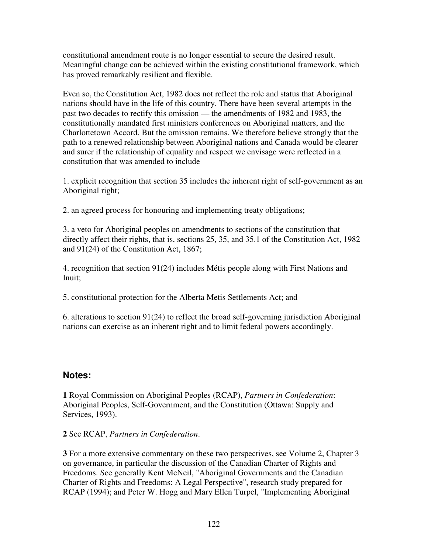constitutional amendment route is no longer essential to secure the desired result. Meaningful change can be achieved within the existing constitutional framework, which has proved remarkably resilient and flexible.

Even so, the Constitution Act, 1982 does not reflect the role and status that Aboriginal nations should have in the life of this country. There have been several attempts in the past two decades to rectify this omission — the amendments of 1982 and 1983, the constitutionally mandated first ministers conferences on Aboriginal matters, and the Charlottetown Accord. But the omission remains. We therefore believe strongly that the path to a renewed relationship between Aboriginal nations and Canada would be clearer and surer if the relationship of equality and respect we envisage were reflected in a constitution that was amended to include

1. explicit recognition that section 35 includes the inherent right of self-government as an Aboriginal right;

2. an agreed process for honouring and implementing treaty obligations;

3. a veto for Aboriginal peoples on amendments to sections of the constitution that directly affect their rights, that is, sections 25, 35, and 35.1 of the Constitution Act, 1982 and 91(24) of the Constitution Act, 1867;

4. recognition that section 91(24) includes Métis people along with First Nations and Inuit;

5. constitutional protection for the Alberta Metis Settlements Act; and

6. alterations to section 91(24) to reflect the broad self-governing jurisdiction Aboriginal nations can exercise as an inherent right and to limit federal powers accordingly.

# **Notes:**

**1** Royal Commission on Aboriginal Peoples (RCAP), *Partners in Confederation*: Aboriginal Peoples, Self-Government, and the Constitution (Ottawa: Supply and Services, 1993).

## **2** See RCAP, *Partners in Confederation*.

**3** For a more extensive commentary on these two perspectives, see Volume 2, Chapter 3 on governance, in particular the discussion of the Canadian Charter of Rights and Freedoms. See generally Kent McNeil, "Aboriginal Governments and the Canadian Charter of Rights and Freedoms: A Legal Perspective", research study prepared for RCAP (1994); and Peter W. Hogg and Mary Ellen Turpel, "Implementing Aboriginal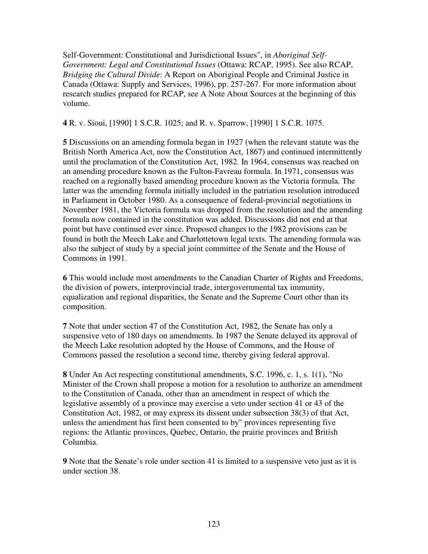Self-Government: Constitutional and Jurisdictional Issues", in *Aboriginal Self-Government: Legal and Constitutional Issues* (Ottawa: RCAP, 1995). See also RCAP, *Bridging the Cultural Divide*: A Report on Aboriginal People and Criminal Justice in Canada (Ottawa: Supply and Services, 1996), pp. 257-267. For more information about research studies prepared for RCAP, see A Note About Sources at the beginning of this volume.

**4** R. v. Sioui, [1990] 1 S.C.R. 1025; and R. v. Sparrow, [1990] 1 S.C.R. 1075.

**5** Discussions on an amending formula began in 1927 (when the relevant statute was the British North America Act, now the Constitution Act, 1867) and continued intermittently until the proclamation of the Constitution Act, 1982. In 1964, consensus was reached on an amending procedure known as the Fulton-Favreau formula. In 1971, consensus was reached on a regionally based amending procedure known as the Victoria formula. The latter was the amending formula initially included in the patriation resolution introduced in Parliament in October 1980. As a consequence of federal-provincial negotiations in November 1981, the Victoria formula was dropped from the resolution and the amending formula now contained in the constitution was added. Discussions did not end at that point but have continued ever since. Proposed changes to the 1982 provisions can be found in both the Meech Lake and Charlottetown legal texts. The amending formula was also the subject of study by a special joint committee of the Senate and the House of Commons in 1991.

**6** This would include most amendments to the Canadian Charter of Rights and Freedoms, the division of powers, interprovincial trade, intergovernmental tax immunity, equalization and regional disparities, the Senate and the Supreme Court other than its composition.

**7** Note that under section 47 of the Constitution Act, 1982, the Senate has only a suspensive veto of 180 days on amendments. In 1987 the Senate delayed its approval of the Meech Lake resolution adopted by the House of Commons, and the House of Commons passed the resolution a second time, thereby giving federal approval.

**8** Under An Act respecting constitutional amendments, S.C. 1996, c. 1, s. 1(1), "No Minister of the Crown shall propose a motion for a resolution to authorize an amendment to the Constitution of Canada, other than an amendment in respect of which the legislative assembly of a province may exercise a veto under section 41 or 43 of the Constitution Act, 1982, or may express its dissent under subsection 38(3) of that Act, unless the amendment has first been consented to by" provinces representing five regions: the Atlantic provinces, Quebec, Ontario, the prairie provinces and British Columbia.

**9** Note that the Senate's role under section 41 is limited to a suspensive veto just as it is under section 38.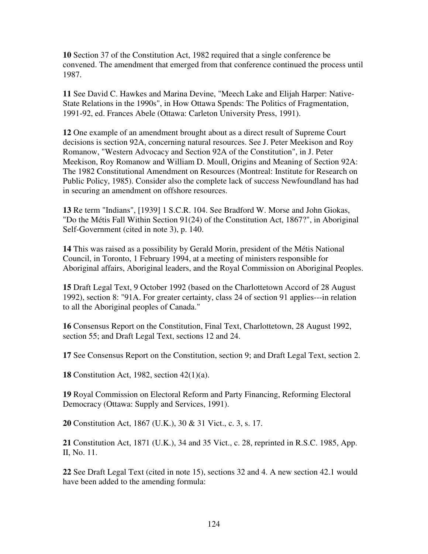**10** Section 37 of the Constitution Act, 1982 required that a single conference be convened. The amendment that emerged from that conference continued the process until 1987.

**11** See David C. Hawkes and Marina Devine, "Meech Lake and Elijah Harper: Native-State Relations in the 1990s", in How Ottawa Spends: The Politics of Fragmentation, 1991-92, ed. Frances Abele (Ottawa: Carleton University Press, 1991).

**12** One example of an amendment brought about as a direct result of Supreme Court decisions is section 92A, concerning natural resources. See J. Peter Meekison and Roy Romanow, "Western Advocacy and Section 92A of the Constitution", in J. Peter Meekison, Roy Romanow and William D. Moull, Origins and Meaning of Section 92A: The 1982 Constitutional Amendment on Resources (Montreal: Institute for Research on Public Policy, 1985). Consider also the complete lack of success Newfoundland has had in securing an amendment on offshore resources.

**13** Re term "Indians", [1939] 1 S.C.R. 104. See Bradford W. Morse and John Giokas, "Do the Métis Fall Within Section 91(24) of the Constitution Act, 1867?", in Aboriginal Self-Government (cited in note 3), p. 140.

**14** This was raised as a possibility by Gerald Morin, president of the Métis National Council, in Toronto, 1 February 1994, at a meeting of ministers responsible for Aboriginal affairs, Aboriginal leaders, and the Royal Commission on Aboriginal Peoples.

**15** Draft Legal Text, 9 October 1992 (based on the Charlottetown Accord of 28 August 1992), section 8: "91A. For greater certainty, class 24 of section 91 applies---in relation to all the Aboriginal peoples of Canada."

**16** Consensus Report on the Constitution, Final Text, Charlottetown, 28 August 1992, section 55; and Draft Legal Text, sections 12 and 24.

**17** See Consensus Report on the Constitution, section 9; and Draft Legal Text, section 2.

**18** Constitution Act, 1982, section 42(1)(a).

**19** Royal Commission on Electoral Reform and Party Financing, Reforming Electoral Democracy (Ottawa: Supply and Services, 1991).

**20** Constitution Act, 1867 (U.K.), 30 & 31 Vict., c. 3, s. 17.

**21** Constitution Act, 1871 (U.K.), 34 and 35 Vict., c. 28, reprinted in R.S.C. 1985, App. II, No. 11.

**22** See Draft Legal Text (cited in note 15), sections 32 and 4. A new section 42.1 would have been added to the amending formula: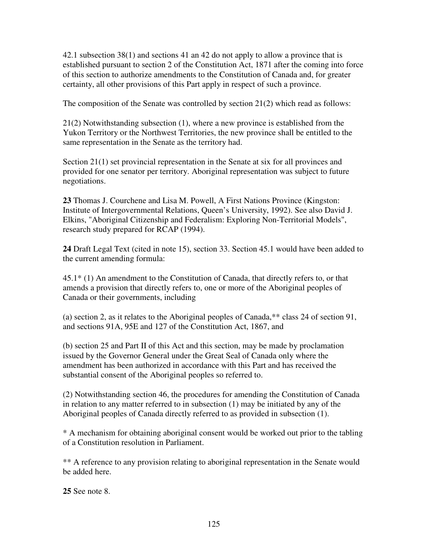42.1 subsection 38(1) and sections 41 an 42 do not apply to allow a province that is established pursuant to section 2 of the Constitution Act, 1871 after the coming into force of this section to authorize amendments to the Constitution of Canada and, for greater certainty, all other provisions of this Part apply in respect of such a province.

The composition of the Senate was controlled by section 21(2) which read as follows:

21(2) Notwithstanding subsection (1), where a new province is established from the Yukon Territory or the Northwest Territories, the new province shall be entitled to the same representation in the Senate as the territory had.

Section 21(1) set provincial representation in the Senate at six for all provinces and provided for one senator per territory. Aboriginal representation was subject to future negotiations.

**23** Thomas J. Courchene and Lisa M. Powell, A First Nations Province (Kingston: Institute of Intergovernmental Relations, Queen's University, 1992). See also David J. Elkins, "Aboriginal Citizenship and Federalism: Exploring Non-Territorial Models", research study prepared for RCAP (1994).

**24** Draft Legal Text (cited in note 15), section 33. Section 45.1 would have been added to the current amending formula:

45.1\* (1) An amendment to the Constitution of Canada, that directly refers to, or that amends a provision that directly refers to, one or more of the Aboriginal peoples of Canada or their governments, including

(a) section 2, as it relates to the Aboriginal peoples of Canada,\*\* class 24 of section 91, and sections 91A, 95E and 127 of the Constitution Act, 1867, and

(b) section 25 and Part II of this Act and this section, may be made by proclamation issued by the Governor General under the Great Seal of Canada only where the amendment has been authorized in accordance with this Part and has received the substantial consent of the Aboriginal peoples so referred to.

(2) Notwithstanding section 46, the procedures for amending the Constitution of Canada in relation to any matter referred to in subsection (1) may be initiated by any of the Aboriginal peoples of Canada directly referred to as provided in subsection (1).

\* A mechanism for obtaining aboriginal consent would be worked out prior to the tabling of a Constitution resolution in Parliament.

\*\* A reference to any provision relating to aboriginal representation in the Senate would be added here.

**25** See note 8.